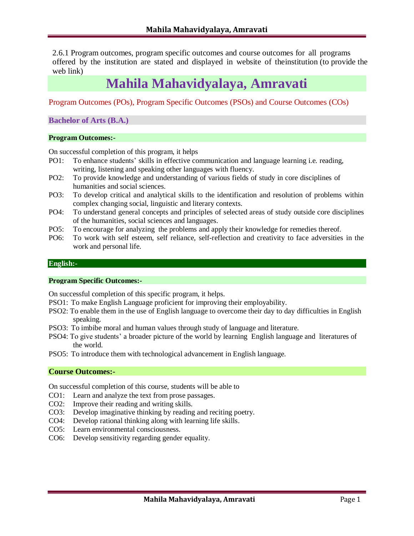2.6.1 Program outcomes, program specific outcomes and course outcomes for all programs offered by the institution are stated and displayed in website of theinstitution (to provide the web link)

# **Mahila Mahavidyalaya, Amravati**

Program Outcomes (POs), Program Specific Outcomes (PSOs) and Course Outcomes (COs)

**Bachelor of Arts (B.A.)**

### **Program Outcomes:-**

On successful completion of this program, it helps

- PO1: To enhance students' skills in effective communication and language learning i.e. reading, writing, listening and speaking other languages with fluency.
- PO2: To provide knowledge and understanding of various fields of study in core disciplines of humanities and social sciences.
- PO3: To develop critical and analytical skills to the identification and resolution of problems within complex changing social, linguistic and literary contexts.
- PO4: To understand general concepts and principles of selected areas of study outside core disciplines of the humanities, social sciences and languages.
- PO5: To encourage for analyzing the problems and apply their knowledge for remedies thereof.
- PO6: To work with self esteem, self reliance, self-reflection and creativity to face adversities in the work and personal life.

#### **English:-**

### **Program Specific Outcomes:-**

On successful completion of this specific program, it helps.

- PSO1: To make English Language proficient for improving their employability.
- PSO2: To enable them in the use of English language to overcome their day to day difficulties in English speaking.
- PSO3: To imbibe moral and human values through study of language and literature.
- PSO4: To give students' a broader picture of the world by learning English language and literatures of the world.
- PSO5: To introduce them with technological advancement in English language.

### **Course Outcomes:-**

- CO1: Learn and analyze the text from prose passages.
- CO2: Improve their reading and writing skills.
- CO3: Develop imaginative thinking by reading and reciting poetry.
- CO4: Develop rational thinking along with learning life skills.
- CO5: Learn environmental consciousness.
- CO6: Develop sensitivity regarding gender equality.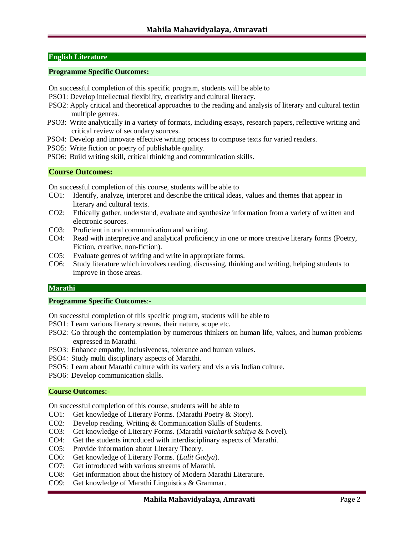### **English Literature**

### **Programme Specific Outcomes:**

- On successful completion of this specific program, students will be able to
- PSO1: Develop intellectual flexibility, creativity and cultural literacy.
- PSO2: Apply critical and theoretical approaches to the reading and analysis of literary and cultural textin multiple genres.
- PSO3: Write analytically in a variety of formats, including essays, research papers, reflective writing and critical review of secondary sources.
- PSO4: Develop and innovate effective writing process to compose texts for varied readers.
- PSO5: Write fiction or poetry of publishable quality.
- PSO6: Build writing skill, critical thinking and communication skills.

### **Course Outcomes:**

On successful completion of this course, students will be able to

- CO1: Identify, analyze, interpret and describe the critical ideas, values and themes that appear in literary and cultural texts.
- CO2: Ethically gather, understand, evaluate and synthesize information from a variety of written and electronic sources.
- CO3: Proficient in oral communication and writing.
- CO4: Read with interpretive and analytical proficiency in one or more creative literary forms (Poetry, Fiction, creative, non-fiction).
- CO5: Evaluate genres of writing and write in appropriate forms.
- CO6: Study literature which involves reading, discussing, thinking and writing, helping students to improve in those areas.

#### **Marathi**

### **Programme Specific Outcomes**:-

On successful completion of this specific program, students will be able to

- PSO1: Learn various literary streams, their nature, scope etc.
- PSO2: Go through the contemplation by numerous thinkers on human life, values, and human problems expressed in Marathi.
- PSO3: Enhance empathy, inclusiveness, tolerance and human values.
- PSO4: Study multi disciplinary aspects of Marathi.
- PSO5: Learn about Marathi culture with its variety and vis a vis Indian culture.
- PSO6: Develop communication skills.

#### **Course Outcomes:-**

- CO1: Get knowledge of Literary Forms. (Marathi Poetry & Story).
- CO2: Develop reading, Writing & Communication Skills of Students.
- CO3: Get knowledge of Literary Forms. (Marathi *vaicharik sahitya* & Novel).
- CO4: Get the students introduced with interdisciplinary aspects of Marathi.
- CO5: Provide information about Literary Theory.
- CO6: Get knowledge of Literary Forms. (*Lalit Gadya*).
- CO7: Get introduced with various streams of Marathi.
- CO8: Get information about the history of Modern Marathi Literature.
- CO9: Get knowledge of Marathi Linguistics & Grammar.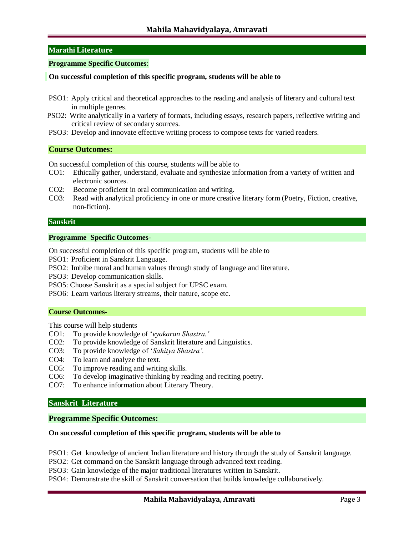### **Marathi Literature**

### **Programme Specific Outcomes**:

### **On successful completion of this specific program, students will be able to**

- PSO1: Apply critical and theoretical approaches to the reading and analysis of literary and cultural text in multiple genres.
- PSO2: Write analytically in a variety of formats, including essays, research papers, reflective writing and critical review of secondary sources.
- PSO3: Develop and innovate effective writing process to compose texts for varied readers.

### **Course Outcomes:**

On successful completion of this course, students will be able to

- CO1: Ethically gather, understand, evaluate and synthesize information from a variety of written and electronic sources.
- CO2: Become proficient in oral communication and writing.
- CO3: Read with analytical proficiency in one or more creative literary form (Poetry, Fiction, creative, non-fiction).

#### **Sanskrit**

#### **Programme Specific Outcomes-**

On successful completion of this specific program, students will be able to

PSO1: Proficient in Sanskrit Language.

PSO2: Imbibe moral and human values through study of language and literature.

PSO3: Develop communication skills.

PSO5: Choose Sanskrit as a special subject for UPSC exam.

PSO6: Learn various literary streams, their nature, scope etc.

#### **Course Outcomes-**

This course will help students

- CO1: To provide knowledge of '*vyakaran Shastra.'*
- CO2: To provide knowledge of Sanskrit literature and Linguistics.
- CO3: To provide knowledge of '*Sahitya Shastra'.*
- CO4: To learn and analyze the text.
- CO5: To improve reading and writing skills.
- CO6: To develop imaginative thinking by reading and reciting poetry.
- CO7: To enhance information about Literary Theory.

### **Sanskrit Literature**

#### **Programme Specific Outcomes:**

### **On successful completion of this specific program, students will be able to**

PSO1: Get knowledge of ancient Indian literature and history through the study of Sanskrit language.

PSO2: Get command on the Sanskrit language through advanced text reading.

PSO3: Gain knowledge of the major traditional literatures written in Sanskrit.

PSO4: Demonstrate the skill of Sanskrit conversation that builds knowledge collaboratively.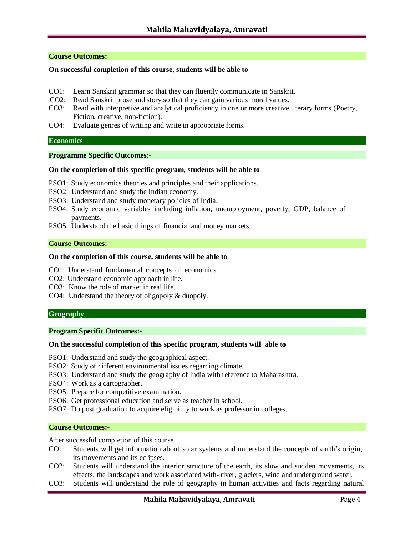### **Course Outcomes:**

#### **On successful completion of this course, students will be able to**

- CO1: Learn Sanskrit grammar so that they can fluently communicate in Sanskrit.
- CO2: Read Sanskrit prose and story so that they can gain various moral values.
- CO3: Read with interpretive and analytical proficiency in one or more creative literary forms (Poetry, Fiction, creative, non-fiction).
- CO4: Evaluate genres of writing and write in appropriate forms.

#### **Economics**

#### **Programme Specific Outcomes**:-

#### **On the completion of this specific program, students will be able to**

- PSO1: Study economics theories and principles and their applications.
- PSO2: Understand and study the Indian economy.
- PSO3: Understand and study monetary policies of India.
- PSO4: Study economic variables including inflation, unemployment, poverty, GDP, balance of payments.
- PSO5: Understand the basic things of financial and money markets.

### **Course Outcomes:**

### **On the completion of this course, students will be able to**

- CO1: Understand fundamental concepts of economics.
- CO2: Understand economic approach in life.
- CO3: Know the role of market in real life.
- CO4: Understand the theory of oligopoly & duopoly.

#### **Geography**

#### **Program Specific Outcomes:-**

### **On the successful completion of this specific program, students will able to**

- PSO1: Understand and study the geographical aspect.
- PSO2: Study of different environmental issues regarding climate.
- PSO3: Understand and study the geography of India with reference to Maharashtra.
- PSO4: Work as a cartographer.
- PSO5: Prepare for competitive examination.
- PSO6: Get professional education and serve as teacher in school.
- PSO7: Do post graduation to acquire eligibility to work as professor in colleges.

#### **Course Outcomes:-**

After successful completion of this course

- CO1: Students will get information about solar systems and understand the concepts of earth's origin, its movements and its eclipses.
- CO2: Students will understand the interior structure of the earth, its slow and sudden movements, its effects, the landscapes and work associated with- river, glaciers, wind and underground water.
- CO3: Students will understand the role of geography in human activities and facts regarding natural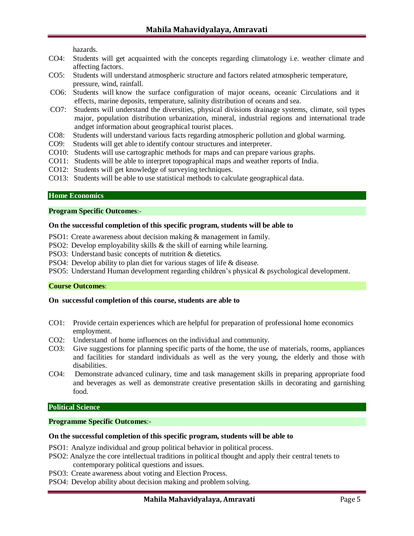hazards.

- CO4: Students will get acquainted with the concepts regarding climatology i.e. weather climate and affecting factors.
- CO5: Students will understand atmospheric structure and factors related atmospheric temperature, pressure, wind, rainfall.
- CO6: Students will know the surface configuration of major oceans, oceanic Circulations and it effects, marine deposits, temperature, salinity distribution of oceans and sea.
- CO7: Students will understand the diversities, physical divisions drainage systems, climate, soil types major, population distribution urbanization, mineral, industrial regions and international trade andget information about geographical tourist places.
- CO8: Students will understand various facts regarding atmospheric pollution and global warming.
- CO9: Students will get able to identify contour structures and interpreter.
- CO10: Students will use cartographic methods for maps and can prepare various graphs.
- CO11: Students will be able to interpret topographical maps and weather reports of India.
- CO12: Students will get knowledge of surveying techniques.
- CO13: Students will be able to use statistical methods to calculate geographical data.

### **Home Economics**

#### **Program Specific Outcomes**:-

#### **On the successful completion of this specific program, students will be able to**

PSO1: Create awareness about decision making & management in family.

- PSO2: Develop employability skills & the skill of earning while learning.
- PSO3: Understand basic concepts of nutrition & dietetics.
- PSO4: Develop ability to plan diet for various stages of life & disease.
- PSO5: Understand Human development regarding children's physical & psychological development.

### **Course Outcomes**:

#### **On successful completion of this course, students are able to**

- CO1: Provide certain experiences which are helpful for preparation of professional home economics employment.
- CO2: Understand of home influences on the individual and community.
- CO3: Give suggestions for planning specific parts of the home, the use of materials, rooms, appliances and facilities for standard individuals as well as the very young, the elderly and those with disabilities.
- CO4: Demonstrate advanced culinary, time and task management skills in preparing appropriate food and beverages as well as demonstrate creative presentation skills in decorating and garnishing food.

#### **Political Science**

### **Programme Specific Outcomes**:-

#### **On the successful completion of this specific program, students will be able to**

- PSO1: Analyze individual and group political behavior in political process.
- PSO2: Analyze the core intellectual traditions in political thought and apply their central tenets to contemporary political questions and issues.
- PSO3: Create awareness about voting and Election Process.
- PSO4: Develop ability about decision making and problem solving.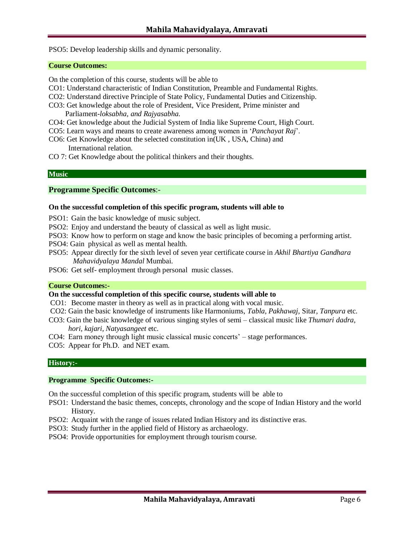PSO5: Develop leadership skills and dynamic personality.

#### **Course Outcomes:**

On the completion of this course, students will be able to

- CO1: Understand characteristic of Indian Constitution, Preamble and Fundamental Rights.
- CO2: Understand directive Principle of State Policy, Fundamental Duties and Citizenship.
- CO3: Get knowledge about the role of President, Vice President, Prime minister and Parliament*-loksabha, and Rajyasabha*.
- CO4: Get knowledge about the Judicial System of India like Supreme Court, High Court.
- CO5: Learn ways and means to create awareness among women in '*Panchayat Raj*'.
- CO6: Get Knowledge about the selected constitution in(UK , USA, China) and International relation.
- CO 7: Get Knowledge about the political thinkers and their thoughts.

#### **Music**

#### **Programme Specific Outcomes**:-

#### **On the successful completion of this specific program, students will able to**

- PSO1: Gain the basic knowledge of music subject.
- PSO2: Enjoy and understand the beauty of classical as well as light music.
- PSO3: Know how to perform on stage and know the basic principles of becoming a performing artist.
- PSO4: Gain physical as well as mental health.
- PSO5: Appear directly for the sixth level of seven year certificate course in *Akhil Bhartiya Gandhara Mahavidyalaya Mandal* Mumbai.
- PSO6: Get self- employment through personal music classes.

#### **Course Outcomes:-**

### **On the successful completion of this specific course, students will able to**

- CO1: Become master in theory as well as in practical along with vocal music.
- CO2: Gain the basic knowledge of instruments like Harmoniums, *Tabla, Pakhawaj*, Sitar, *Tanpura* etc.
- CO3: Gain the basic knowledge of various singing styles of semi classical music like *Thumari dadra, hori, kajari, Natyasangeet* etc.
- CO4: Earn money through light music classical music concerts' stage performances.
- CO5: Appear for Ph.D. and NET exam.

### **History:-**

#### **Programme Specific Outcomes:-**

On the successful completion of this specific program, students will be able to

- PSO1: Understand the basic themes, concepts, chronology and the scope of Indian History and the world History.
- PSO2: Acquaint with the range of issues related Indian History and its distinctive eras.
- PSO3: Study further in the applied field of History as archaeology.
- PSO4: Provide opportunities for employment through tourism course.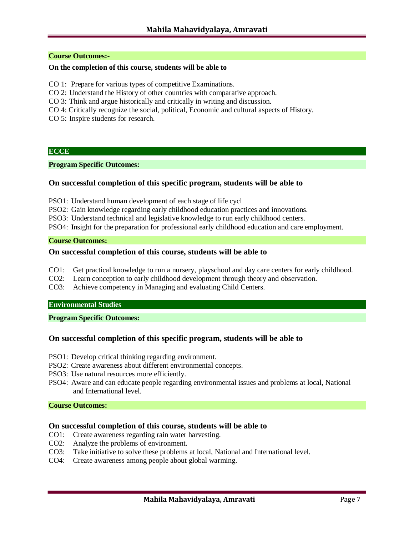### **Course Outcomes:-**

### **On the completion of this course, students will be able to**

- CO 1: Prepare for various types of competitive Examinations.
- CO 2: Understand the History of other countries with comparative approach.
- CO 3: Think and argue historically and critically in writing and discussion.
- CO 4: Critically recognize the social, political, Economic and cultural aspects of History.
- CO 5: Inspire students for research.

#### **ECCE**

#### **Program Specific Outcomes:**

### **On successful completion of this specific program, students will be able to**

- PSO1: Understand human development of each stage of life cycl
- PSO2: Gain knowledge regarding early childhood education practices and innovations.
- PSO3: Understand technical and legislative knowledge to run early childhood centers.
- PSO4: Insight for the preparation for professional early childhood education and care employment.

#### **Course Outcomes:**

### **On successful completion of this course, students will be able to**

- CO1: Get practical knowledge to run a nursery, playschool and day care centers for early childhood.
- CO2: Learn conception to early childhood development through theory and observation.
- CO3: Achieve competency in Managing and evaluating Child Centers.

#### **Environmental Studies**

#### **Program Specific Outcomes:**

### **On successful completion of this specific program, students will be able to**

- PSO1: Develop critical thinking regarding environment.
- PSO2: Create awareness about different environmental concepts.
- PSO3: Use natural resources more efficiently.
- PSO4: Aware and can educate people regarding environmental issues and problems at local, National and International level.

#### **Course Outcomes:**

- CO1: Create awareness regarding rain water harvesting.
- CO2: Analyze the problems of environment.
- CO3: Take initiative to solve these problems at local, National and International level.
- CO4: Create awareness among people about global warming.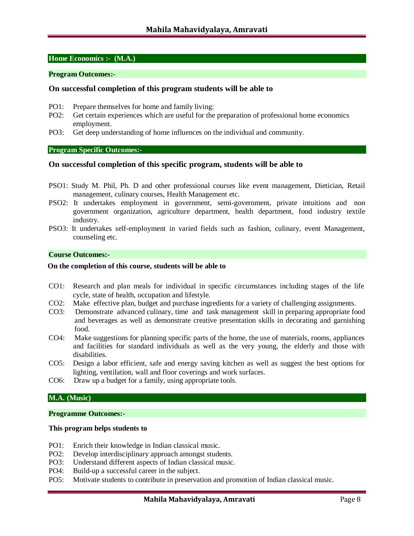### **Home Economics :- (M.A.)**

### **Program Outcomes:-**

### **On successful completion of this program students will be able to**

- PO1: Prepare themselves for home and family living:
- PO2: Get certain experiences which are useful for the preparation of professional home economics employment.
- PO3: Get deep understanding of home influences on the individual and community.

### **Program Specific Outcomes:-**

#### **On successful completion of this specific program, students will be able to**

- PSO1: Study M. Phil, Ph. D and other professional courses like event management, Dietician, Retail management, culinary courses, Health Management etc.
- PSO2: It undertakes employment in government, semi-government, private intuitions and non government organization, agriculture department, health department, food industry textile industry.
- PSO3: It undertakes self-employment in varied fields such as fashion, culinary, event Management, counseling etc.

#### **Course Outcomes:-**

#### **On the completion of this course, students will be able to**

- CO1: Research and plan meals for individual in specific circumstances including stages of the life cycle, state of health, occupation and lifestyle.
- CO2: Make effective plan, budget and purchase ingredients for a variety of challenging assignments.
- CO3: Demonstrate advanced culinary, time and task management skill in preparing appropriate food and beverages as well as demonstrate creative presentation skills in decorating and garnishing food.
- CO4: Make suggestions for planning specific parts of the home, the use of materials, rooms, appliances and facilities for standard individuals as well as the very young, the elderly and those with disabilities.
- CO5: Design a labor efficient, safe and energy saving kitchen as well as suggest the best options for lighting, ventilation, wall and floor coverings and work surfaces.
- CO6: Draw up a budget for a family, using appropriate tools.

### **M.A. (Music)**

#### **Programme Outcomes:-**

#### **This program helps students to**

- PO1: Enrich their knowledge in Indian classical music.
- PO2: Develop interdisciplinary approach amongst students.
- PO3: Understand different aspects of Indian classical music.
- PO4: Build-up a successful career in the subject.
- PO5: Motivate students to contribute in preservation and promotion of Indian classical music.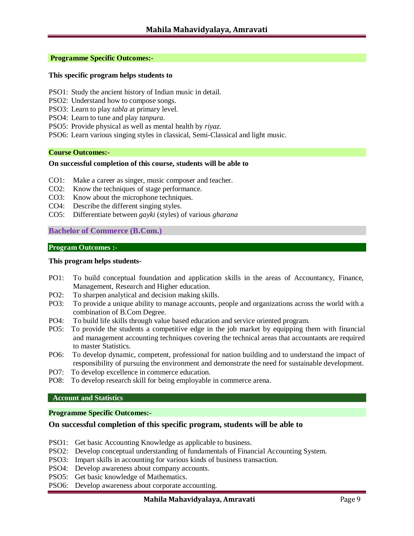### **Programme Specific Outcomes:-**

### **This specific program helps students to**

- PSO1: Study the ancient history of Indian music in detail.
- PSO2: Understand how to compose songs.
- PSO3: Learn to play *tabla* at primary level.
- PSO4: Learn to tune and play *tanpura*.
- PSO5: Provide physical as well as mental health by *riyaz*.
- PSO6: Learn various singing styles in classical, Semi-Classical and light music.

#### **Course Outcomes:-**

### **On successful completion of this course, students will be able to**

- CO1: Make a career as singer, music composer and teacher.
- CO2: Know the techniques of stage performance.
- CO3: Know about the microphone techniques.
- CO4: Describe the different singing styles.
- CO5: Differentiate between *gayki* (styles) of various *gharana*

### **Bachelor of Commerce (B.Com.)**

#### **Program Outcomes :-**

#### **This program helps students-**

- PO1: To build conceptual foundation and application skills in the areas of Accountancy, Finance, Management, Research and Higher education.
- PO2: To sharpen analytical and decision making skills.
- PO3: To provide a unique ability to manage accounts, people and organizations across the world with a combination of B.Com Degree.
- PO4: To build life skills through value based education and service oriented program.
- PO5: To provide the students a competitive edge in the job market by equipping them with financial and management accounting techniques covering the technical areas that accountants are required to master Statistics.
- PO6: To develop dynamic, competent, professional for nation building and to understand the impact of responsibility of pursuing the environment and demonstrate the need for sustainable development.
- PO7: To develop excellence in commerce education.
- PO8: To develop research skill for being employable in commerce arena.

### **Account and Statistics**

**Programme Specific Outcomes:-**

### **On successful completion of this specific program, students will be able to**

- PSO1: Get basic Accounting Knowledge as applicable to business.
- PSO2: Develop conceptual understanding of fundamentals of Financial Accounting System.
- PSO3: Impart skills in accounting for various kinds of business transaction.
- PSO4: Develop awareness about company accounts.
- PSO5: Get basic knowledge of Mathematics.
- PSO6: Develop awareness about corporate accounting.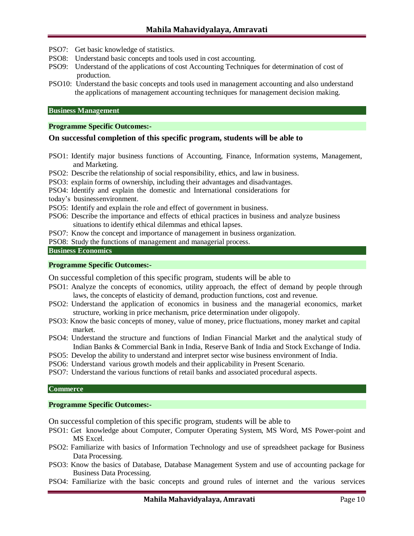PSO7: Get basic knowledge of statistics.

- PSO8: Understand basic concepts and tools used in cost accounting.
- PSO9: Understand of the applications of cost Accounting Techniques for determination of cost of production.
- PSO10: Understand the basic concepts and tools used in management accounting and also understand the applications of management accounting techniques for management decision making.

#### **Business Management**

#### **Programme Specific Outcomes:-**

### **On successful completion of this specific program, students will be able to**

- PSO1: Identify major business functions of Accounting, Finance, Information systems, Management, and Marketing.
- PSO2: Describe the relationship of social responsibility, ethics, and law in business.
- PSO3: explain forms of ownership, including their advantages and disadvantages.
- PSO4: Identify and explain the domestic and International considerations for
- today's businessenvironment.
- PSO5: Identify and explain the role and effect of government in business.
- PSO6: Describe the importance and effects of ethical practices in business and analyze business situations to identify ethical dilemmas and ethical lapses.
- PSO7: Know the concept and importance of management in business organization.
- PSO8: Study the functions of management and managerial process.

### **Business Economics**

### **Programme Specific Outcomes:-**

On successful completion of this specific program, students will be able to

- PSO1: Analyze the concepts of economics, utility approach, the effect of demand by people through laws, the concepts of elasticity of demand, production functions, cost and revenue.
- PSO2: Understand the application of economics in business and the managerial economics, market structure, working in price mechanism, price determination under oligopoly.
- PSO3: Know the basic concepts of money, value of money, price fluctuations, money market and capital market.
- PSO4: Understand the structure and functions of Indian Financial Market and the analytical study of Indian Banks & Commercial Bank in India, Reserve Bank of India and Stock Exchange of India.
- PSO5: Develop the ability to understand and interpret sector wise business environment of India.
- PSO6: Understand various growth models and their applicability in Present Scenario.
- PSO7: Understand the various functions of retail banks and associated procedural aspects.

#### **Commerce**

### **Programme Specific Outcomes:-**

On successful completion of this specific program, students will be able to

- PSO1: Get knowledge about Computer, Computer Operating System, MS Word, MS Power-point and MS Excel.
- PSO2: Familiarize with basics of Information Technology and use of spreadsheet package for Business Data Processing.
- PSO3: Know the basics of Database, Database Management System and use of accounting package for Business Data Processing.
- PSO4: Familiarize with the basic concepts and ground rules of internet and the various services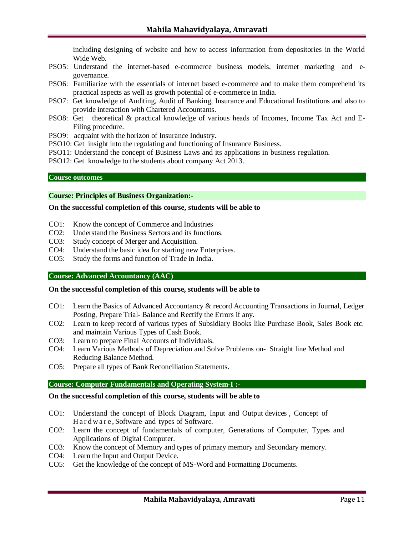including designing of website and how to access information from depositories in the World Wide Web.

- PSO5: Understand the internet-based e-commerce business models, internet marketing and egovernance.
- PSO6: Familiarize with the essentials of internet based e-commerce and to make them comprehend its practical aspects as well as growth potential of e-commerce in India.
- PSO7: Get knowledge of Auditing, Audit of Banking, Insurance and Educational Institutions and also to provide interaction with Chartered Accountants.
- PSO8: Get theoretical & practical knowledge of various heads of Incomes, Income Tax Act and E-Filing procedure.
- PSO9: acquaint with the horizon of Insurance Industry.
- PSO10: Get insight into the regulating and functioning of Insurance Business.
- PSO11: Understand the concept of Business Laws and its applications in business regulation.
- PSO12: Get knowledge to the students about company Act 2013.

#### **Course outcomes**

#### **Course: Principles of Business Organization:-**

#### **On the successful completion of this course, students will be able to**

- CO1: Know the concept of Commerce and Industries
- CO2: Understand the Business Sectors and its functions.
- CO3: Study concept of Merger and Acquisition.
- CO4: Understand the basic idea for starting new Enterprises.
- CO5: Study the forms and function of Trade in India.

### **Course: Advanced Accountancy (AAC)**

#### **On the successful completion of this course, students will be able to**

- CO1: Learn the Basics of Advanced Accountancy & record Accounting Transactions in Journal, Ledger Posting, Prepare Trial- Balance and Rectify the Errors if any.
- CO2: Learn to keep record of various types of Subsidiary Books like Purchase Book, Sales Book etc. and maintain Various Types of Cash Book.
- CO3: Learn to prepare Final Accounts of Individuals.
- CO4: Learn Various Methods of Depreciation and Solve Problems on- Straight line Method and Reducing Balance Method.
- CO5: Prepare all types of Bank Reconciliation Statements.

### **Course: Computer Fundamentals and Operating System-I :-**

- CO1: Understand the concept of Block Diagram, Input and Output devices , Concept of H a r d w a r e , Software and types of Software.
- CO2: Learn the concept of fundamentals of computer, Generations of Computer, Types and Applications of Digital Computer.
- CO3: Know the concept of Memory and types of primary memory and Secondary memory.
- CO4: Learn the Input and Output Device.
- CO5: Get the knowledge of the concept of MS-Word and Formatting Documents.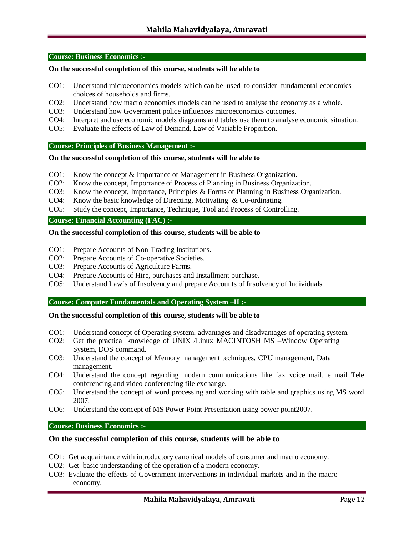#### **Course: Business Economics** :-

### **On the successful completion of this course, students will be able to**

- CO1: Understand microeconomics models which can be used to consider fundamental economics choices of households and firms.
- CO2: Understand how macro economics models can be used to analyse the economy as a whole.
- CO3: Understand how Government police influences microeconomics outcomes.
- CO4: Interpret and use economic models diagrams and tables use them to analyse economic situation.
- CO5: Evaluate the effects of Law of Demand, Law of Variable Proportion.

#### **Course: Principles of Business Management :-**

#### **On the successful completion of this course, students will be able to**

- CO1: Know the concept & Importance of Management in Business Organization.
- CO2: Know the concept, Importance of Process of Planning in Business Organization.
- CO3: Know the concept, Importance, Principles & Forms of Planning in Business Organization.
- CO4: Know the basic knowledge of Directing, Motivating & Co-ordinating.
- CO5: Study the concept, Importance, Technique, Tool and Process of Controlling.

### **Course: Financial Accounting (FAC)** :-

#### **On the successful completion of this course, students will be able to**

- CO1: Prepare Accounts of Non-Trading Institutions.
- CO2: Prepare Accounts of Co-operative Societies.
- CO3: Prepare Accounts of Agriculture Farms.
- CO4: Prepare Accounts of Hire, purchases and Installment purchase.
- CO5: Understand Law`s of Insolvency and prepare Accounts of Insolvency of Individuals.

### **Course: Computer Fundamentals and Operating System –II :-**

#### **On the successful completion of this course, students will be able to**

- CO1: Understand concept of Operating system, advantages and disadvantages of operating system.
- CO2: Get the practical knowledge of UNIX /Linux MACINTOSH MS –Window Operating System, DOS command.
- CO3: Understand the concept of Memory management techniques, CPU management, Data management.
- CO4: Understand the concept regarding modern communications like fax voice mail, e mail Tele conferencing and video conferencing file exchange.
- CO5: Understand the concept of word processing and working with table and graphics using MS word 2007.
- CO6: Understand the concept of MS Power Point Presentation using power point2007.

### **Course: Business Economics :-**

- CO1: Get acquaintance with introductory canonical models of consumer and macro economy.
- CO2: Get basic understanding of the operation of a modern economy.
- CO3: Evaluate the effects of Government interventions in individual markets and in the macro economy.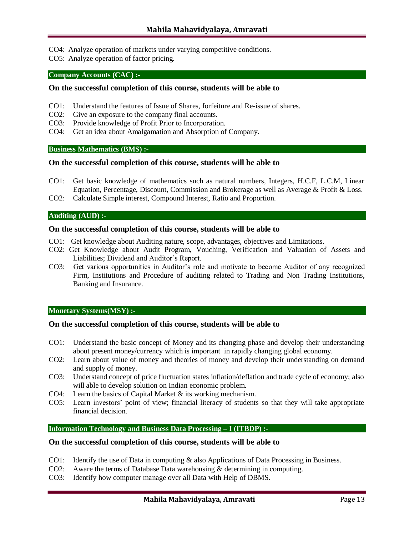- CO4: Analyze operation of markets under varying competitive conditions.
- CO5: Analyze operation of factor pricing.

### **Company Accounts (CAC) :-**

### **On the successful completion of this course, students will be able to**

- CO1: Understand the features of Issue of Shares, forfeiture and Re-issue of shares.
- CO2: Give an exposure to the company final accounts.
- CO3: Provide knowledge of Profit Prior to Incorporation.
- CO4: Get an idea about Amalgamation and Absorption of Company.

### **Business Mathematics (BMS) :-**

#### **On the successful completion of this course, students will be able to**

- CO1: Get basic knowledge of mathematics such as natural numbers, Integers, H.C.F, L.C.M, Linear Equation, Percentage, Discount, Commission and Brokerage as well as Average & Profit & Loss.
- CO2: Calculate Simple interest, Compound Interest, Ratio and Proportion.

### **Auditing (AUD) :-**

### **On the successful completion of this course, students will be able to**

- CO1: Get knowledge about Auditing nature, scope, advantages, objectives and Limitations.
- CO2: Get Knowledge about Audit Program, Vouching, Verification and Valuation of Assets and Liabilities; Dividend and Auditor's Report.
- CO3: Get various opportunities in Auditor's role and motivate to become Auditor of any recognized Firm, Institutions and Procedure of auditing related to Trading and Non Trading Institutions, Banking and Insurance.

#### **Monetary Systems(MSY) :-**

### **On the successful completion of this course, students will be able to**

- CO1: Understand the basic concept of Money and its changing phase and develop their understanding about present money/currency which is important in rapidly changing global economy.
- CO2: Learn about value of money and theories of money and develop their understanding on demand and supply of money.
- CO3: Understand concept of price fluctuation states inflation/deflation and trade cycle of economy; also will able to develop solution on Indian economic problem.
- CO4: Learn the basics of Capital Market & its working mechanism.
- CO5: Learn investors' point of view; financial literacy of students so that they will take appropriate financial decision.

# **Information Technology and Business Data Processing – I (ITBDP) :-**

- CO1: Identify the use of Data in computing & also Applications of Data Processing in Business.
- CO2: Aware the terms of Database Data warehousing & determining in computing.
- CO3: Identify how computer manage over all Data with Help of DBMS.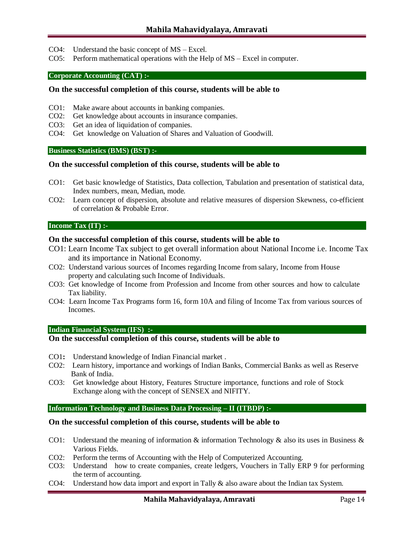- CO4: Understand the basic concept of MS Excel.
- CO5: Perform mathematical operations with the Help of MS Excel in computer.

#### **Corporate Accounting (CAT) :-**

#### **On the successful completion of this course, students will be able to**

- CO1: Make aware about accounts in banking companies.
- CO2: Get knowledge about accounts in insurance companies.
- CO3: Get an idea of liquidation of companies.
- CO4: Get knowledge on Valuation of Shares and Valuation of Goodwill.

#### **Business Statistics (BMS) (BST) :-**

#### **On the successful completion of this course, students will be able to**

- CO1: Get basic knowledge of Statistics, Data collection, Tabulation and presentation of statistical data, Index numbers, mean, Median, mode.
- CO2: Learn concept of dispersion, absolute and relative measures of dispersion Skewness, co-efficient of correlation & Probable Error.

#### **Income Tax (IT) :-**

#### **On the successful completion of this course, students will be able to**

- CO1: Learn Income Tax subject to get overall information about National Income i.e. Income Tax and its importance in National Economy.
- CO2: Understand various sources of Incomes regarding Income from salary, Income from House property and calculating such Income of Individuals.
- CO3: Get knowledge of Income from Profession and Income from other sources and how to calculate Tax liability.
- CO4: Learn Income Tax Programs form 16, form 10A and filing of Income Tax from various sources of Incomes.

#### **Indian Financial System (IFS) :-**

# **On the successful completion of this course, students will be able to**

- CO1**:** Understand knowledge of Indian Financial market .
- CO2: Learn history, importance and workings of Indian Banks, Commercial Banks as well as Reserve Bank of India.
- CO3: Get knowledge about History, Features Structure importance, functions and role of Stock Exchange along with the concept of SENSEX and NIFITY.

#### **Information Technology and Business Data Processing – II (ITBDP) :-**

- CO1: Understand the meaning of information  $\&$  information Technology  $\&$  also its uses in Business  $\&$ Various Fields.
- CO2: Perform the terms of Accounting with the Help of Computerized Accounting.
- CO3: Understand how to create companies, create ledgers, Vouchers in Tally ERP 9 for performing the term of accounting.
- CO4: Understand how data import and export in Tally & also aware about the Indian tax System.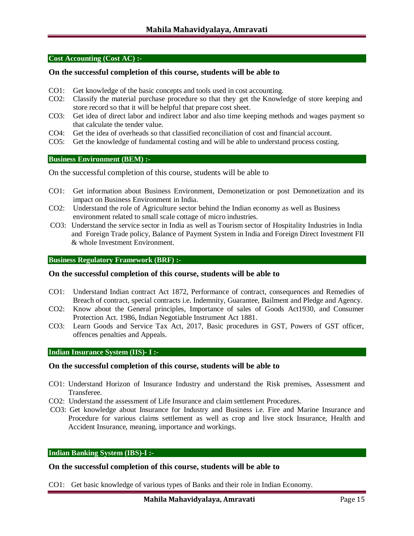#### **Cost Accounting (Cost AC) :-**

### **On the successful completion of this course, students will be able to**

- CO1: Get knowledge of the basic concepts and tools used in cost accounting.
- CO2: Classify the material purchase procedure so that they get the Knowledge of store keeping and store record so that it will be helpful that prepare cost sheet.
- CO3: Get idea of direct labor and indirect labor and also time keeping methods and wages payment so that calculate the tender value.
- CO4: Get the idea of overheads so that classified reconciliation of cost and financial account.
- CO5: Get the knowledge of fundamental costing and will be able to understand process costing.

#### **Business Environment (BEM) :-**

On the successful completion of this course, students will be able to

- CO1: Get information about Business Environment, Demonetization or post Demonetization and its impact on Business Environment in India.
- CO2: Understand the role of Agriculture sector behind the Indian economy as well as Business environment related to small scale cottage of micro industries.
- CO3: Understand the service sector in India as well as Tourism sector of Hospitality Industries in India and Foreign Trade policy, Balance of Payment System in India and Foreign Direct Investment FII & whole Investment Environment.

#### **Business Regulatory Framework (BRF) :-**

#### **On the successful completion of this course, students will be able to**

- CO1: Understand Indian contract Act 1872, Performance of contract, consequences and Remedies of Breach of contract, special contracts i.e. Indemnity, Guarantee, Bailment and Pledge and Agency.
- CO2: Know about the General principles, Importance of sales of Goods Act1930, and Consumer Protection Act. 1986, Indian Negotiable Instrument Act 1881.
- CO3: Learn Goods and Service Tax Act, 2017, Basic procedures in GST, Powers of GST officer, offences penalties and Appeals.

### **Indian Insurance System (IIS)- I :-**

#### **On the successful completion of this course, students will be able to**

- CO1: Understand Horizon of Insurance Industry and understand the Risk premises, Assessment and Transferee.
- CO2: Understand the assessment of Life Insurance and claim settlement Procedures.
- CO3: Get knowledge about Insurance for Industry and Business i.e. Fire and Marine Insurance and Procedure for various claims settlement as well as crop and live stock Insurance, Health and Accident Insurance, meaning, importance and workings.

#### **Indian Banking System (IBS)-I :-**

### **On the successful completion of this course, students will be able to**

CO1: Get basic knowledge of various types of Banks and their role in Indian Economy.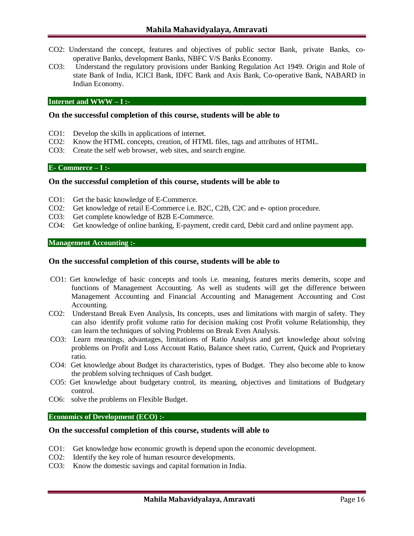- CO2: Understand the concept, features and objectives of public sector Bank, private Banks, cooperative Banks, development Banks, NBFC V/S Banks Economy.
- CO3: Understand the regulatory provisions under Banking Regulation Act 1949. Origin and Role of state Bank of India, ICICI Bank, IDFC Bank and Axis Bank, Co-operative Bank, NABARD in Indian Economy.

#### **Internet and WWW – I :-**

### **On the successful completion of this course, students will be able to**

- CO1: Develop the skills in applications of internet.
- CO2: Know the HTML concepts, creation, of HTML files, tags and attributes of HTML.
- CO3: Create the self web browser, web sites, and search engine.

### **E- Commerce – I :-**

### **On the successful completion of this course, students will be able to**

- CO1: Get the basic knowledge of E-Commerce.
- CO2: Get knowledge of retail E-Commerce i.e. B2C, C2B, C2C and e- option procedure.
- CO3: Get complete knowledge of B2B E-Commerce.
- CO4: Get knowledge of online banking, E-payment, credit card, Debit card and online payment app.

### **Management Accounting :-**

#### **On the successful completion of this course, students will be able to**

- CO1: Get knowledge of basic concepts and tools i.e. meaning, features merits demerits, scope and functions of Management Accounting. As well as students will get the difference between Management Accounting and Financial Accounting and Management Accounting and Cost Accounting.
- CO2: Understand Break Even Analysis, Its concepts, uses and limitations with margin of safety. They can also identify profit volume ratio for decision making cost Profit volume Relationship, they can learn the techniques of solving Problems on Break Even Analysis.
- CO3: Learn meanings, advantages, limitations of Ratio Analysis and get knowledge about solving problems on Profit and Loss Account Ratio, Balance sheet ratio, Current, Quick and Proprietary ratio.
- CO4: Get knowledge about Budget its characteristics, types of Budget. They also become able to know the problem solving techniques of Cash budget.
- CO5: Get knowledge about budgetary control, its meaning, objectives and limitations of Budgetary control.
- CO6: solve the problems on Flexible Budget.

### **Economics of Development (ECO) :-**

- CO1: Get knowledge how economic growth is depend upon the economic development.
- CO2: Identify the key role of human resource developments.
- CO3: Know the domestic savings and capital formation in India.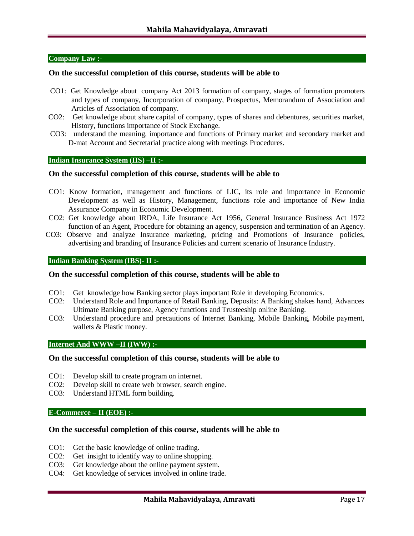#### **Company Law :-**

### **On the successful completion of this course, students will be able to**

- CO1: Get Knowledge about company Act 2013 formation of company, stages of formation promoters and types of company, Incorporation of company, Prospectus, Memorandum of Association and Articles of Association of company.
- CO2: Get knowledge about share capital of company, types of shares and debentures, securities market, History, functions importance of Stock Exchange.
- CO3: understand the meaning, importance and functions of Primary market and secondary market and D-mat Account and Secretarial practice along with meetings Procedures.

### **Indian Insurance System (IIS) –II :-**

### **On the successful completion of this course, students will be able to**

- CO1: Know formation, management and functions of LIC, its role and importance in Economic Development as well as History, Management, functions role and importance of New India Assurance Company in Economic Development.
- CO2: Get knowledge about IRDA, Life Insurance Act 1956, General Insurance Business Act 1972 function of an Agent, Procedure for obtaining an agency, suspension and termination of an Agency.
- CO3: Observe and analyze Insurance marketing, pricing and Promotions of Insurance policies, advertising and branding of Insurance Policies and current scenario of Insurance Industry.

#### **Indian Banking System (IBS)- II :-**

#### **On the successful completion of this course, students will be able to**

- CO1: Get knowledge how Banking sector plays important Role in developing Economics.
- CO2: Understand Role and Importance of Retail Banking, Deposits: A Banking shakes hand, Advances Ultimate Banking purpose, Agency functions and Trusteeship online Banking.
- CO3: Understand procedure and precautions of Internet Banking, Mobile Banking, Mobile payment, wallets & Plastic money.

#### **Internet And WWW –II (IWW) :-**

### **On the successful completion of this course, students will be able to**

- CO1: Develop skill to create program on internet.
- CO2: Develop skill to create web browser, search engine.
- CO3: Understand HTML form building.

#### **E-Commerce – II (EOE) :-**

- CO1: Get the basic knowledge of online trading.
- CO2: Get insight to identify way to online shopping.
- CO3: Get knowledge about the online payment system.
- CO4: Get knowledge of services involved in online trade.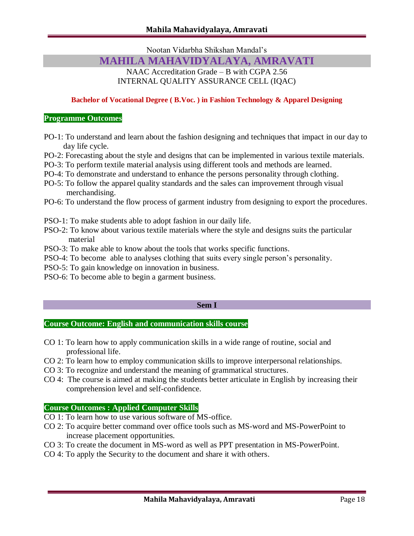Nootan Vidarbha Shikshan Mandal's

# **MAHILA MAHAVIDYALAYA, AMRAVATI**

NAAC Accreditation Grade – B with CGPA 2.56 INTERNAL QUALITY ASSURANCE CELL (IQAC)

### **Bachelor of Vocational Degree ( B.Voc. ) in Fashion Technology & Apparel Designing**

### **Programme Outcomes**

- PO-1: To understand and learn about the fashion designing and techniques that impact in our day to day life cycle.
- PO-2: Forecasting about the style and designs that can be implemented in various textile materials.
- PO-3: To perform textile material analysis using different tools and methods are learned.
- PO-4: To demonstrate and understand to enhance the persons personality through clothing.
- PO-5: To follow the apparel quality standards and the sales can improvement through visual merchandising.
- PO-6: To understand the flow process of garment industry from designing to export the procedures.
- PSO-1: To make students able to adopt fashion in our daily life.
- PSO-2: To know about various textile materials where the style and designs suits the particular material
- PSO-3: To make able to know about the tools that works specific functions.
- PSO-4: To become able to analyses clothing that suits every single person's personality.
- PSO-5: To gain knowledge on innovation in business.
- PSO-6: To become able to begin a garment business.

### **Sem I**

### **Course Outcome: English and communication skills course**

- CO 1: To learn how to apply communication skills in a wide range of routine, social and professional life.
- CO 2: To learn how to employ communication skills to improve interpersonal relationships.
- CO 3: To recognize and understand the meaning of grammatical structures.
- CO 4: The course is aimed at making the students better articulate in English by increasing their comprehension level and self-confidence.

### **Course Outcomes : Applied Computer Skills**

- CO 1: To learn how to use various software of MS-office.
- CO 2: To acquire better command over office tools such as MS-word and MS-PowerPoint to increase placement opportunities.
- CO 3: To create the document in MS-word as well as PPT presentation in MS-PowerPoint.
- CO 4: To apply the Security to the document and share it with others.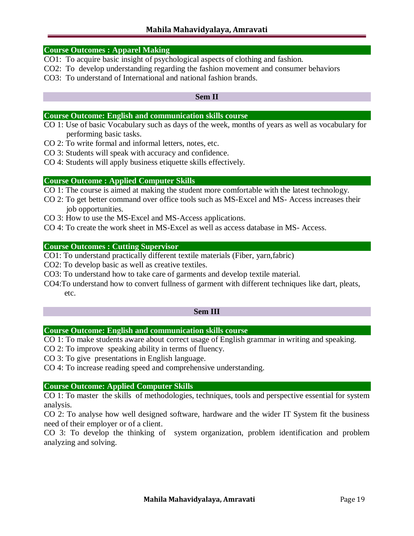### **Course Outcomes : Apparel Making**

- CO1: To acquire basic insight of psychological aspects of clothing and fashion.
- CO2: To develop understanding regarding the fashion movement and consumer behaviors
- CO3: To understand of International and national fashion brands.

### **Sem II**

### **Course Outcome: English and communication skills course**

- CO 1: Use of basic Vocabulary such as days of the week, months of years as well as vocabulary for performing basic tasks.
- CO 2: To write formal and informal letters, notes, etc.
- CO 3: Students will speak with accuracy and confidence.
- CO 4: Students will apply business etiquette skills effectively.

### **Course Outcome : Applied Computer Skills**

- CO 1: The course is aimed at making the student more comfortable with the latest technology.
- CO 2: To get better command over office tools such as MS-Excel and MS- Access increases their job opportunities.
- CO 3: How to use the MS-Excel and MS-Access applications.
- CO 4: To create the work sheet in MS-Excel as well as access database in MS- Access.

### **Course Outcomes : Cutting Supervisor**

- CO1: To understand practically different textile materials (Fiber, yarn,fabric)
- CO2: To develop basic as well as creative textiles.
- CO3: To understand how to take care of garments and develop textile material.
- CO4:To understand how to convert fullness of garment with different techniques like dart, pleats, etc.

### **Sem III**

### **Course Outcome: English and communication skills course**

CO 1: To make students aware about correct usage of English grammar in writing and speaking.

CO 2: To improve speaking ability in terms of fluency.

CO 3: To give presentations in English language.

CO 4: To increase reading speed and comprehensive understanding.

### **Course Outcome: Applied Computer Skills**

CO 1: To master the skills of methodologies, techniques, tools and perspective essential for system analysis.

CO 2: To analyse how well designed software, hardware and the wider IT System fit the business need of their employer or of a client.

CO 3: To develop the thinking of system organization, problem identification and problem analyzing and solving.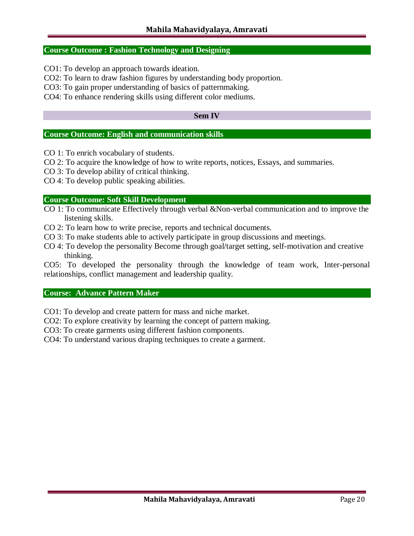### **Course Outcome : Fashion Technology and Designing**

CO1: To develop an approach towards ideation.

CO2: To learn to draw fashion figures by understanding body proportion.

CO3: To gain proper understanding of basics of patternmaking.

CO4: To enhance rendering skills using different color mediums.

### **Sem IV**

### **Course Outcome: English and communication skills**

- CO 1: To enrich vocabulary of students.
- CO 2: To acquire the knowledge of how to write reports, notices, Essays, and summaries.
- CO 3: To develop ability of critical thinking.
- CO 4: To develop public speaking abilities.

### **Course Outcome: Soft Skill Development**

- CO 1: To communicate Effectively through verbal &Non-verbal communication and to improve the listening skills.
- CO 2: To learn how to write precise, reports and technical documents.
- CO 3: To make students able to actively participate in group discussions and meetings.
- CO 4: To develop the personality Become through goal/target setting, self-motivation and creative thinking.

CO5: To developed the personality through the knowledge of team work, Inter-personal relationships, conflict management and leadership quality.

### **Course: Advance Pattern Maker**

CO1: To develop and create pattern for mass and niche market.

CO2: To explore creativity by learning the concept of pattern making.

CO3: To create garments using different fashion components.

CO4: To understand various draping techniques to create a garment.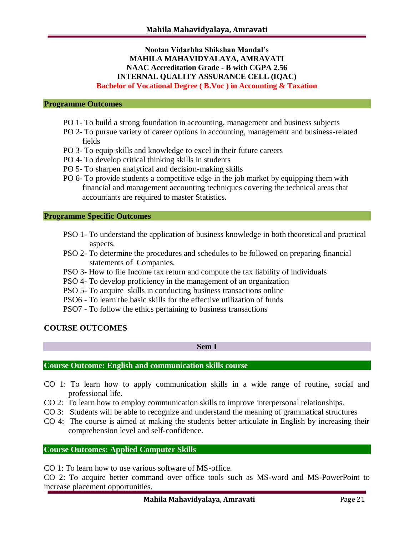# **Nootan Vidarbha Shikshan Mandal's MAHILA MAHAVIDYALAYA, AMRAVATI NAAC Accreditation Grade - B with CGPA 2.56 INTERNAL QUALITY ASSURANCE CELL (IQAC) Bachelor of Vocational Degree ( B.Voc ) in Accounting & Taxation**

### **Programme Outcomes**

- PO 1- To build a strong foundation in accounting, management and business subjects
- PO 2- To pursue variety of career options in accounting, management and business-related fields
- PO 3- To equip skills and knowledge to excel in their future careers
- PO 4- To develop critical thinking skills in students
- PO 5- To sharpen analytical and decision-making skills
- PO 6- To provide students a competitive edge in the job market by equipping them with financial and management accounting techniques covering the technical areas that accountants are required to master Statistics.

#### **Programme Specific Outcomes**

- PSO 1- To understand the application of business knowledge in both theoretical and practical aspects.
- PSO 2- To determine the procedures and schedules to be followed on preparing financial statements of Companies.
- PSO 3- How to file Income tax return and compute the tax liability of individuals
- PSO 4- To develop proficiency in the management of an organization
- PSO 5- To acquire skills in conducting business transactions online
- PSO6 To learn the basic skills for the effective utilization of funds
- PSO7 To follow the ethics pertaining to business transactions

### **COURSE OUTCOMES**

**Sem I**

# **Course Outcome: English and communication skills course**

- CO 1: To learn how to apply communication skills in a wide range of routine, social and professional life.
- CO 2: To learn how to employ communication skills to improve interpersonal relationships.
- CO 3: Students will be able to recognize and understand the meaning of grammatical structures
- CO 4: The course is aimed at making the students better articulate in English by increasing their comprehension level and self-confidence.

# **Course Outcomes: Applied Computer Skills**

CO 1: To learn how to use various software of MS-office.

CO 2: To acquire better command over office tools such as MS-word and MS-PowerPoint to increase placement opportunities.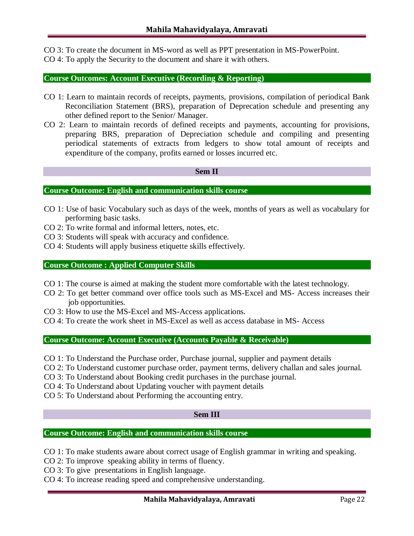CO 3: To create the document in MS-word as well as PPT presentation in MS-PowerPoint.

CO 4: To apply the Security to the document and share it with others.

# **Course Outcomes: Account Executive (Recording & Reporting)**

- CO 1: Learn to maintain records of receipts, payments, provisions, compilation of periodical Bank Reconciliation Statement (BRS), preparation of Deprecation schedule and presenting any other defined report to the Senior/ Manager.
- CO 2: Learn to maintain records of defined receipts and payments, accounting for provisions, preparing BRS, preparation of Depreciation schedule and compiling and presenting periodical statements of extracts from ledgers to show total amount of receipts and expenditure of the company, profits earned or losses incurred etc.

### **Sem II**

# **Course Outcome: English and communication skills course**

- CO 1: Use of basic Vocabulary such as days of the week, months of years as well as vocabulary for performing basic tasks.
- CO 2: To write formal and informal letters, notes, etc.
- CO 3: Students will speak with accuracy and confidence.
- CO 4: Students will apply business etiquette skills effectively.

## **Course Outcome : Applied Computer Skills**

- CO 1: The course is aimed at making the student more comfortable with the latest technology.
- CO 2: To get better command over office tools such as MS-Excel and MS- Access increases their job opportunities.
- CO 3: How to use the MS-Excel and MS-Access applications.
- CO 4: To create the work sheet in MS-Excel as well as access database in MS- Access

### **Course Outcome: Account Executive (Accounts Payable & Receivable)**

CO 1: To Understand the Purchase order, Purchase journal, supplier and payment details

- CO 2: To Understand customer purchase order, payment terms, delivery challan and sales journal.
- CO 3: To Understand about Booking credit purchases in the purchase journal.
- CO 4: To Understand about Updating voucher with payment details
- CO 5: To Understand about Performing the accounting entry.

### **Sem III**

# **Course Outcome: English and communication skills course**

CO 1: To make students aware about correct usage of English grammar in writing and speaking.

- CO 2: To improve speaking ability in terms of fluency.
- CO 3: To give presentations in English language.
- CO 4: To increase reading speed and comprehensive understanding.